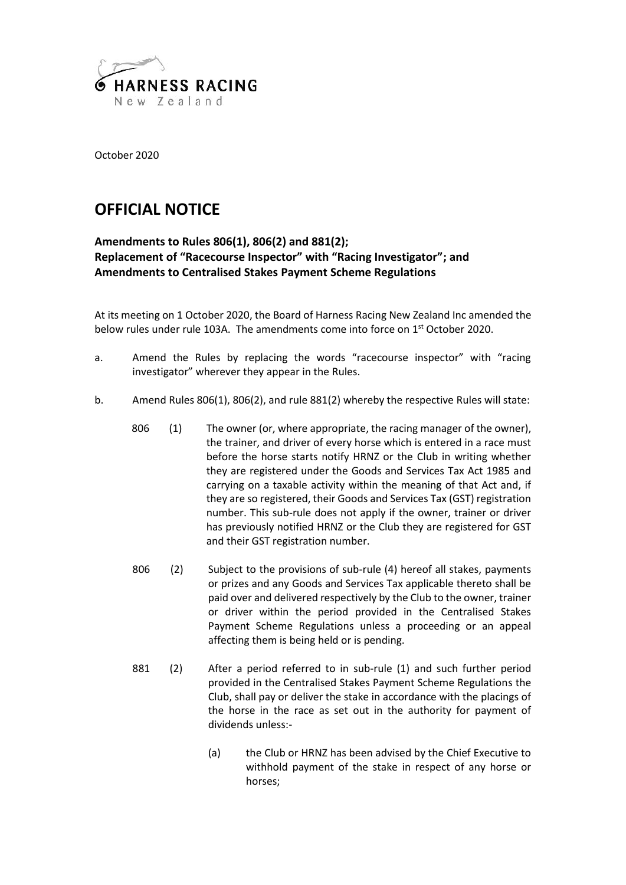

October 2020

## **OFFICIAL NOTICE**

## **Amendments to Rules 806(1), 806(2) and 881(2); Replacement of "Racecourse Inspector" with "Racing Investigator"; and Amendments to Centralised Stakes Payment Scheme Regulations**

At its meeting on 1 October 2020, the Board of Harness Racing New Zealand Inc amended the below rules under rule 103A. The amendments come into force on 1<sup>st</sup> October 2020.

- a. Amend the Rules by replacing the words "racecourse inspector" with "racing investigator" wherever they appear in the Rules.
- b. Amend Rules 806(1), 806(2), and rule 881(2) whereby the respective Rules will state:
	- 806 (1) The owner (or, where appropriate, the racing manager of the owner), the trainer, and driver of every horse which is entered in a race must before the horse starts notify HRNZ or the Club in writing whether they are registered under the Goods and Services Tax Act 1985 and carrying on a taxable activity within the meaning of that Act and, if they are so registered, their Goods and Services Tax (GST) registration number. This sub-rule does not apply if the owner, trainer or driver has previously notified HRNZ or the Club they are registered for GST and their GST registration number.
	- 806 (2) Subject to the provisions of sub-rule (4) hereof all stakes, payments or prizes and any Goods and Services Tax applicable thereto shall be paid over and delivered respectively by the Club to the owner, trainer or driver within the period provided in the Centralised Stakes Payment Scheme Regulations unless a proceeding or an appeal affecting them is being held or is pending.
	- 881 (2) After a period referred to in sub-rule (1) and such further period provided in the Centralised Stakes Payment Scheme Regulations the Club, shall pay or deliver the stake in accordance with the placings of the horse in the race as set out in the authority for payment of dividends unless:-
		- (a) the Club or HRNZ has been advised by the Chief Executive to withhold payment of the stake in respect of any horse or horses;